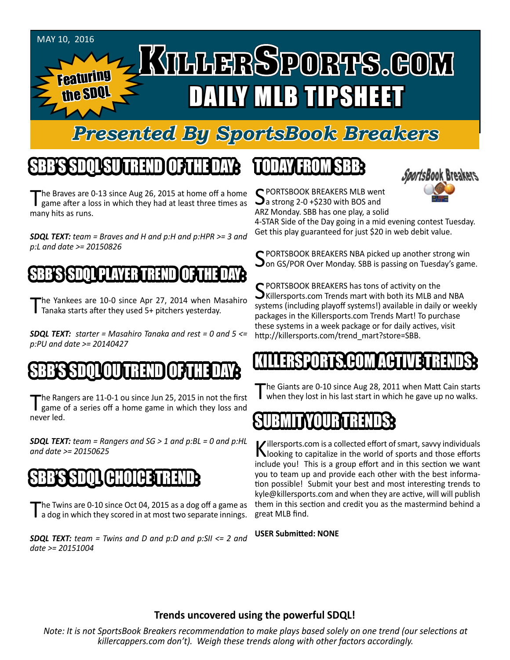

# *Presented By SportsBook Breakers*

# SBB'S SDQL SU TREND OF THE DAY:

The Braves are 0-13 since Aug 26, 2015 at home off a home<br>game after a loss in which they had at least three times as many hits as runs.

*SDQL TEXT: team = Braves and H and p:H and p:HPR >= 3 and p:L and date >= 20150826*

### SBB'S SDQLPLAYER TREND OF THE DAY:

The Yankees are 10-0 since Apr 27, 2014 when Masahiro<br>Tanaka starts after they used 5+ pitchers yesterday.

*SDQL TEXT: starter = Masahiro Tanaka and rest = 0 and 5 <= p:PU and date >= 20140427*

# SBB'S SDQLOU TREND OF THE DAY:

The Rangers are 11-0-1 ou since Jun 25, 2015 in not the first game of a series off a home game in which they loss and never led.

*SDQL TEXT: team = Rangers and SG > 1 and p:BL = 0 and p:HL and date >= 20150625*

### SBB'S SDQL CHOICE TREND

The Twins are 0-10 since Oct 04, 2015 as a dog off a game as<br>
a dog in which they scored in at most two separate innings.

*SDQL TEXT: team = Twins and D and p:D and p:SII <= 2 and date >= 20151004*

# TODAY HAOMSBB



C PORTSBOOK BREAKERS MLB went  $\mathbf{\sum}$  a strong 2-0 +\$230 with BOS and ARZ Monday. SBB has one play, a solid

4-STAR Side of the Day going in a mid evening contest Tuesday. Get this play guaranteed for just \$20 in web debit value.

SPORTSBOOK BREAKERS NBA picked up another strong win<br>Son GS/POR Over Monday. SBB is passing on Tuesday's game.

SPORTSBOOK BREAKERS has tons of activity on the<br>SKillersports.com Trends mart with both its MLB and NBA systems (including playoff systems!) available in daily or weekly packages in the Killersports.com Trends Mart! To purchase these systems in a week package or for daily actives, visit http://killersports.com/trend\_mart?store=SBB.

### KILLERSPORTS.COM ACTIVE TRENDS:

The Giants are 0-10 since Aug 28, 2011 when Matt Cain starts<br>When they lost in his last start in which he gave up no walks.

### SUBMITYOUR TRENDS:

Killersports.com is a collected effort of smart, savvy individuals<br>Nooking to capitalize in the world of sports and those efforts include you! This is a group effort and in this section we want you to team up and provide each other with the best information possible! Submit your best and most interesting trends to kyle@killersports.com and when they are active, will will publish them in this section and credit you as the mastermind behind a great MLB find.

**USER Submitted: NONE**

#### **Trends uncovered using the powerful SDQL!**

*Note: It is not SportsBook Breakers recommendation to make plays based solely on one trend (our selections at killercappers.com don't). Weigh these trends along with other factors accordingly.*